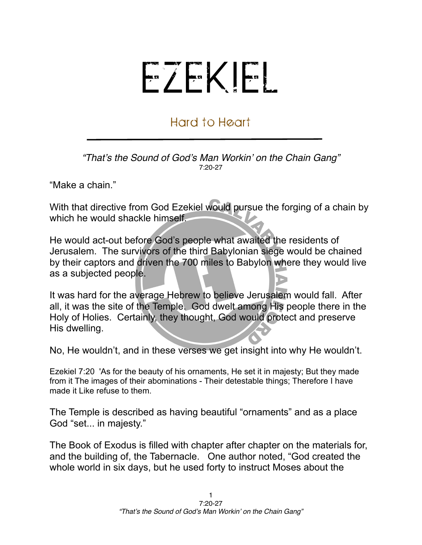## EZEKIEL

## Hard to Heart

*"That*'*s the Sound of God*'*s Man Workin*' *on the Chain Gang"* 7:20-27

"Make a chain."

With that directive from God Ezekiel would pursue the forging of a chain by which he would shackle himself.

He would act-out before God's people what awaited the residents of Jerusalem. The survivors of the third Babylonian siege would be chained by their captors and driven the 700 miles to Babylon where they would live as a subjected people.

It was hard for the average Hebrew to believe Jerusalem would fall. After all, it was the site of the Temple. God dwelt among His people there in the Holy of Holies. Certainly, they thought, God would protect and preserve His dwelling.

No, He wouldn't, and in these verses we get insight into why He wouldn't.

Ezekiel 7:20 'As for the beauty of his ornaments, He set it in majesty; But they made from it The images of their abominations - Their detestable things; Therefore I have made it Like refuse to them.

The Temple is described as having beautiful "ornaments" and as a place God "set... in majesty."

The Book of Exodus is filled with chapter after chapter on the materials for, and the building of, the Tabernacle. One author noted, "God created the whole world in six days, but he used forty to instruct Moses about the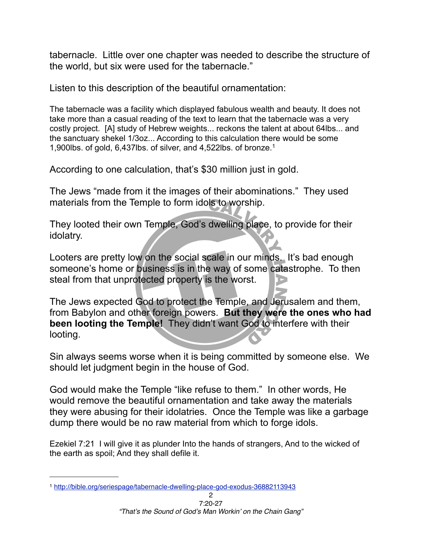tabernacle. Little over one chapter was needed to describe the structure of the world, but six were used for the tabernacle."

Listen to this description of the beautiful ornamentation:

The tabernacle was a facility which displayed fabulous wealth and beauty. It does not take more than a casual reading of the text to learn that the tabernacle was a very costly project. [A] study of Hebrew weights... reckons the talent at about 64lbs... and the sanctuary shekel 1/3oz... According to this calculation there would be some 1,900lbs. of gold, 6,437lbs. of silver, and 4,522lbs. of bronze.[1](#page-1-0)

According to one calculation, that's \$30 million just in gold.

The Jews "made from it the images of their abominations." They used materials from the Temple to form idols to worship.

They looted their own Temple, God's dwelling place, to provide for their idolatry.

Looters are pretty low on the social scale in our minds. It's bad enough someone's home or business is in the way of some catastrophe. To then steal from that unprotected property is the worst.

The Jews expected God to protect the Temple, and Jerusalem and them, from Babylon and other foreign powers. **But they were the ones who had been looting the Temple!** They didn't want God to interfere with their looting.

Sin always seems worse when it is being committed by someone else. We should let judgment begin in the house of God.

God would make the Temple "like refuse to them." In other words, He would remove the beautiful ornamentation and take away the materials they were abusing for their idolatries. Once the Temple was like a garbage dump there would be no raw material from which to forge idols.

Ezekiel 7:21 I will give it as plunder Into the hands of strangers, And to the wicked of the earth as spoil; And they shall defile it.

<span id="page-1-0"></span><sup>1</sup> <http://bible.org/seriespage/tabernacle-dwelling-place-god-exodus-36882113943>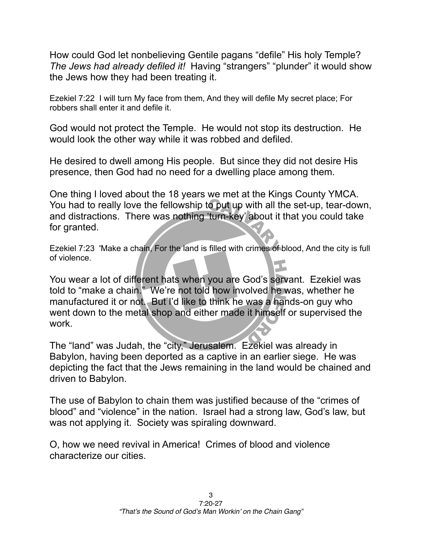How could God let nonbelieving Gentile pagans "defile" His holy Temple? *The Jews had already defiled it!* Having "strangers" "plunder" it would show the Jews how they had been treating it.

Ezekiel 7:22 I will turn My face from them, And they will defile My secret place; For robbers shall enter it and defile it.

God would not protect the Temple. He would not stop its destruction. He would look the other way while it was robbed and defiled.

He desired to dwell among His people. But since they did not desire His presence, then God had no need for a dwelling place among them.

One thing I loved about the 18 years we met at the Kings County YMCA. You had to really love the fellowship to put up with all the set-up, tear-down, and distractions. There was nothing 'turn-key' about it that you could take for granted.

Ezekiel 7:23 'Make a chain, For the land is filled with crimes of blood, And the city is full of violence.

You wear a lot of different hats when you are God's servant. Ezekiel was told to "make a chain." We're not told how involved he was, whether he manufactured it or not. But I'd like to think he was a hands-on guy who went down to the metal shop and either made it himself or supervised the work.

The "land" was Judah, the "city," Jerusalem. Ezekiel was already in Babylon, having been deported as a captive in an earlier siege. He was depicting the fact that the Jews remaining in the land would be chained and driven to Babylon.

The use of Babylon to chain them was justified because of the "crimes of blood" and "violence" in the nation. Israel had a strong law, God's law, but was not applying it. Society was spiraling downward.

O, how we need revival in America! Crimes of blood and violence characterize our cities.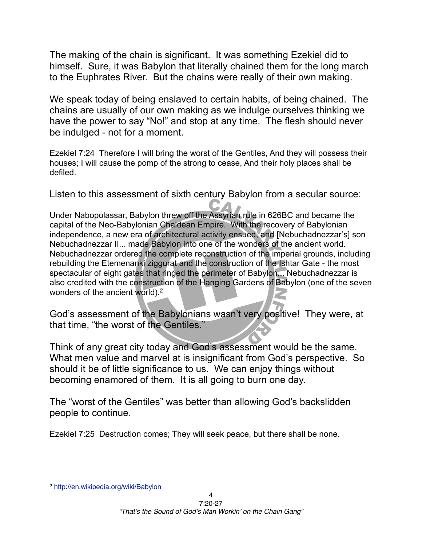The making of the chain is significant. It was something Ezekiel did to himself. Sure, it was Babylon that literally chained them for the long march to the Euphrates River. But the chains were really of their own making.

We speak today of being enslaved to certain habits, of being chained. The chains are usually of our own making as we indulge ourselves thinking we have the power to say "No!" and stop at any time. The flesh should never be indulged - not for a moment.

Ezekiel 7:24 Therefore I will bring the worst of the Gentiles, And they will possess their houses; I will cause the pomp of the strong to cease, And their holy places shall be defiled.

Listen to this assessment of sixth century Babylon from a secular source:

Under [Nabopolassar](http://en.wikipedia.org/wiki/Nabopolassar), Babylon threw off the Assyrian rule in 626BC and became the capital of the Neo-Babylonian [Chaldean](http://en.wikipedia.org/wiki/Chaldean) Empire. With the recovery of Babylonian independence, a new era of architectural activity ensued, and [Nebuchadnezzar's] son [Nebuchadnezzar II.](http://en.wikipedia.org/wiki/Nebuchadnezzar_II_of_Babylon).. made Babylon into one of the wonders of the ancient world. Nebuchadnezzar ordered the complete reconstruction of the imperial grounds, including rebuilding the [Etemenanki](http://en.wikipedia.org/wiki/Etemenanki) [ziggurat](http://en.wikipedia.org/wiki/Ziggurat) and the construction of the [Ishtar Gate](http://en.wikipedia.org/wiki/Ishtar_Gate) - the most spectacular of eight gates that ringed the perimeter of Babylon... Nebuchadnezzar is also credited with the construction of the [Hanging Gardens of Babylon](http://en.wikipedia.org/wiki/Hanging_Gardens_of_Babylon) (one of the [seven](http://en.wikipedia.org/wiki/Seven_Wonders_of_the_Ancient_World)  [wonders of the ancient world\)](http://en.wikipedia.org/wiki/Seven_Wonders_of_the_Ancient_World)[.2](#page-3-0)

God's assessment of the Babylonians wasn't very positive! They were, at that time, "the worst of the Gentiles."

Think of any great city today and God's assessment would be the same. What men value and marvel at is insignificant from God's perspective. So should it be of little significance to us. We can enjoy things without becoming enamored of them. It is all going to burn one day.

The "worst of the Gentiles" was better than allowing God's backslidden people to continue.

Ezekiel 7:25 Destruction comes; They will seek peace, but there shall be none.

<span id="page-3-0"></span><sup>2</sup> <http://en.wikipedia.org/wiki/Babylon>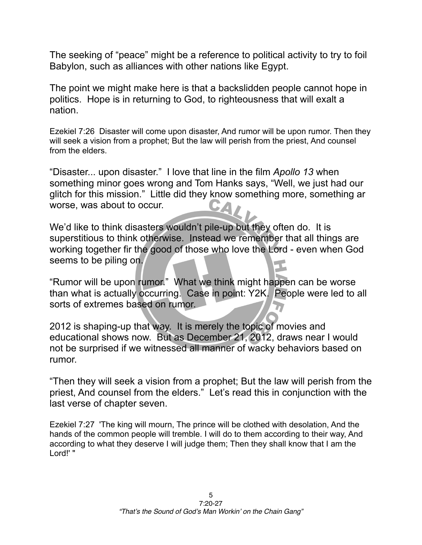The seeking of "peace" might be a reference to political activity to try to foil Babylon, such as alliances with other nations like Egypt.

The point we might make here is that a backslidden people cannot hope in politics. Hope is in returning to God, to righteousness that will exalt a nation.

Ezekiel 7:26 Disaster will come upon disaster, And rumor will be upon rumor. Then they will seek a vision from a prophet; But the law will perish from the priest, And counsel from the elders.

"Disaster... upon disaster." I love that line in the film *Apollo 13* when something minor goes wrong and Tom Hanks says, "Well, we just had our glitch for this mission." Little did they know something more, something ar worse, was about to occur.

We'd like to think disasters wouldn't pile-up but they often do. It is superstitious to think otherwise. Instead we remember that all things are working together fir the good of those who love the Lord - even when God seems to be piling on.

"Rumor will be upon rumor." What we think might happen can be worse than what is actually occurring. Case in point: Y2K. People were led to all sorts of extremes based on rumor.

2012 is shaping-up that way. It is merely the topic of movies and educational shows now. But as December 21, 2012, draws near I would not be surprised if we witnessed all manner of wacky behaviors based on rumor.

"Then they will seek a vision from a prophet; But the law will perish from the priest, And counsel from the elders." Let's read this in conjunction with the last verse of chapter seven.

Ezekiel 7:27 'The king will mourn, The prince will be clothed with desolation, And the hands of the common people will tremble. I will do to them according to their way, And according to what they deserve I will judge them; Then they shall know that I am the Lord!' "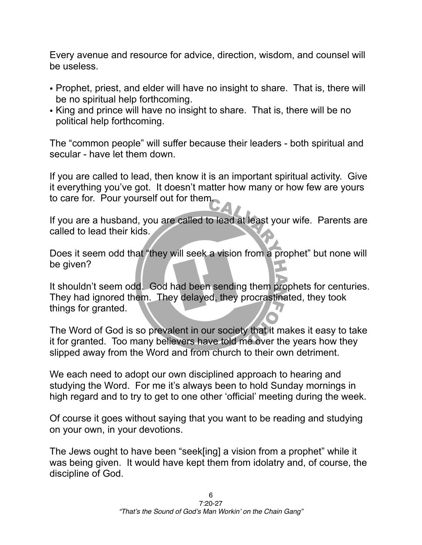Every avenue and resource for advice, direction, wisdom, and counsel will be useless.

- Prophet, priest, and elder will have no insight to share. That is, there will be no spiritual help forthcoming.
- King and prince will have no insight to share. That is, there will be no political help forthcoming.

The "common people" will suffer because their leaders - both spiritual and secular - have let them down.

If you are called to lead, then know it is an important spiritual activity. Give it everything you've got. It doesn't matter how many or how few are yours to care for. Pour yourself out for them.

If you are a husband, you are called to lead at least your wife. Parents are called to lead their kids.

Does it seem odd that "they will seek a vision from a prophet" but none will be given?

It shouldn't seem odd. God had been sending them prophets for centuries. They had ignored them. They delayed, they procrastinated, they took things for granted.

The Word of God is so prevalent in our society that it makes it easy to take it for granted. Too many believers have told me over the years how they slipped away from the Word and from church to their own detriment.

We each need to adopt our own disciplined approach to hearing and studying the Word. For me it's always been to hold Sunday mornings in high regard and to try to get to one other 'official' meeting during the week.

Of course it goes without saying that you want to be reading and studying on your own, in your devotions.

The Jews ought to have been "seek[ing] a vision from a prophet" while it was being given. It would have kept them from idolatry and, of course, the discipline of God.